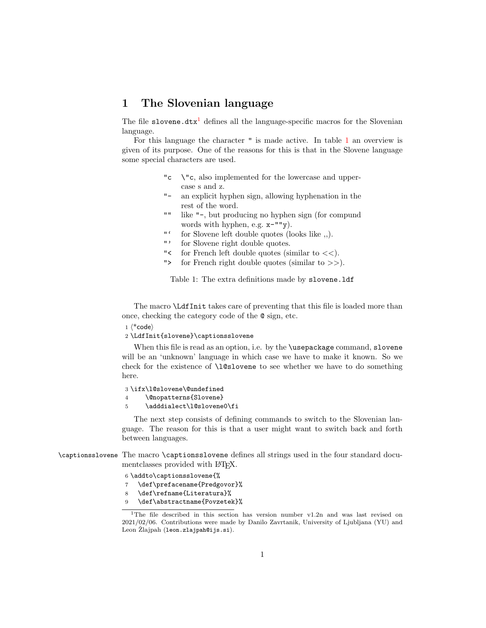## 1 The Slovenian language

The file slovene.dtx<sup>[1](#page-0-0)</sup> defines all the language-specific macros for the Slovenian language.

For this language the character " is made active. In table [1](#page-0-1) an overview is given of its purpose. One of the reasons for this is that in the Slovene language some special characters are used.

- "c \"c, also implemented for the lowercase and uppercase s and z.
- "- an explicit hyphen sign, allowing hyphenation in the rest of the word.
- "" like "-, but producing no hyphen sign (for compund words with hyphen, e.g. x-""y).
- "' for Slovene left double quotes (looks like ,,).
- "' for Slovene right double quotes.
- "< for French left double quotes (similar to  $<<$ ).
- "> for French right double quotes (similar to >>).

<span id="page-0-1"></span>Table 1: The extra definitions made by slovene.ldf

The macro \LdfInit takes care of preventing that this file is loaded more than once, checking the category code of the @ sign, etc.

 $1$   $\langle$ \*code $\rangle$ 

2 \LdfInit{slovene}\captionsslovene

When this file is read as an option, i.e. by the **\usepackage** command, slovene will be an 'unknown' language in which case we have to make it known. So we check for the existence of \l@slovene to see whether we have to do something here.

3 \ifx\l@slovene\@undefined

- 4 \@nopatterns{Slovene}
- 5 \adddialect\l@slovene0\fi

The next step consists of defining commands to switch to the Slovenian language. The reason for this is that a user might want to switch back and forth between languages.

\captionsslovene The macro \captionsslovene defines all strings used in the four standard documentclasses provided with LAT<sub>EX</sub>.

- 6 \addto\captionsslovene{%
- 7 \def\prefacename{Predgovor}%
- 8 \def\refname{Literatura}%
- \def\abstractname{Povzetek}%

<span id="page-0-0"></span><sup>1</sup>The file described in this section has version number v1.2n and was last revised on 2021/02/06. Contributions were made by Danilo Zavrtanik, University of Ljubljana (YU) and Leon Žlajpah (1eon.zlajpah@ijs.si).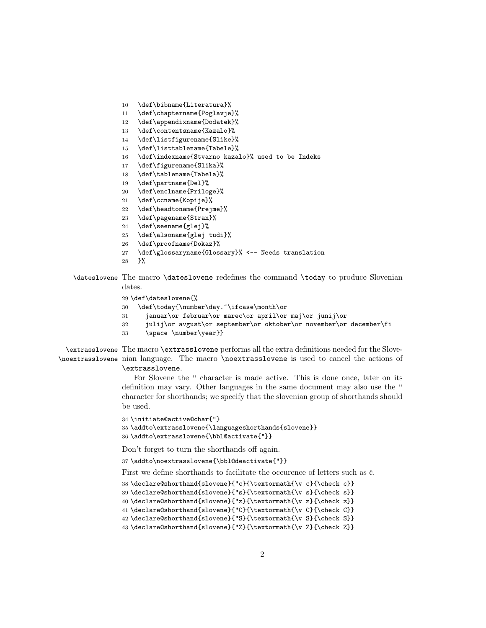- \def\bibname{Literatura}%
- \def\chaptername{Poglavje}%
- 12 \def\appendixname{Dodatek}%
- \def\contentsname{Kazalo}%
- \def\listfigurename{Slike}%
- \def\listtablename{Tabele}%
- \def\indexname{Stvarno kazalo}% used to be Indeks
- \def\figurename{Slika}%
- \def\tablename{Tabela}%
- \def\partname{Del}%
- \def\enclname{Priloge}%
- \def\ccname{Kopije}%
- \def\headtoname{Prejme}%
- \def\pagename{Stran}%
- \def\seename{glej}%
- \def\alsoname{glej tudi}%
- \def\proofname{Dokaz}%
- \def\glossaryname{Glossary}% <-- Needs translation
- }%
- \dateslovene The macro \dateslovene redefines the command \today to produce Slovenian dates.
	- \def\dateslovene{%
	- \def\today{\number\day.~\ifcase\month\or
	- januar\or februar\or marec\or april\or maj\or junij\or
	- julij\or avgust\or september\or oktober\or november\or december\fi
	- 33 \space \number\year}}

\extrasslovene The macro \extrasslovene performs all the extra definitions needed for the Slove-\noextrasslovene nian language. The macro \noextrasslovene is used to cancel the actions of \extrasslovene.

> For Slovene the " character is made active. This is done once, later on its definition may vary. Other languages in the same document may also use the " character for shorthands; we specify that the slovenian group of shorthands should be used.

```
34 \initiate@active@char{"}
35 \addto\extrasslovene{\languageshorthands{slovene}}
36 \addto\extrasslovene{\bbl@activate{"}}
```
Don't forget to turn the shorthands off again.

\addto\noextrasslovene{\bbl@deactivate{"}}

First we define shorthands to facilitate the occurence of letters such as  $\check{c}$ .

```
38 \declare@shorthand{slovene}{"c}{\textormath{\v c}{\check c}}
39 \declare@shorthand{slovene}{"s}{\textormath{\v s}{\check s}}
40 \declare@shorthand{slovene}{"z}{\textormath{\v z}{\check z}}
41 \declare@shorthand{slovene}{"C}{\textormath{\v C}{\check C}}
42 \declare@shorthand{slovene}{"S}{\textormath{\v S}{\check S}}
```
\declare@shorthand{slovene}{"Z}{\textormath{\v Z}{\check Z}}